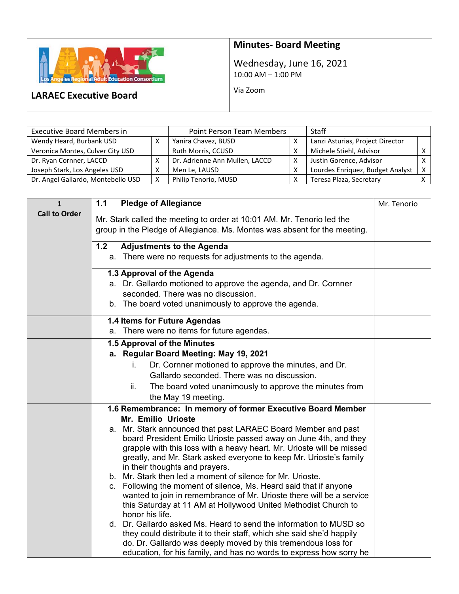

## **Minutes‐ Board Meeting**

Wednesday, June 16, 2021 10:00 AM – 1:00 PM

Via Zoom

## **LARAEC Executive Board**

| <b>Executive Board Members in</b>  | <b>Point Person Team Members</b> |                                | <b>Staff</b> |                                  |   |
|------------------------------------|----------------------------------|--------------------------------|--------------|----------------------------------|---|
| Wendy Heard, Burbank USD           |                                  | Yanira Chavez, BUSD            |              | Lanzi Asturias, Project Director |   |
| Veronica Montes, Culver City USD   |                                  | Ruth Morris, CCUSD             |              | Michele Stiehl, Advisor          |   |
| Dr. Ryan Cornner, LACCD            |                                  | Dr. Adrienne Ann Mullen, LACCD |              | Justin Gorence, Advisor          |   |
| Joseph Stark, Los Angeles USD      |                                  | Men Le, LAUSD                  |              | Lourdes Enriquez, Budget Analyst | X |
| Dr. Angel Gallardo, Montebello USD | X                                | Philip Tenorio, MUSD           |              | Teresa Plaza, Secretary          |   |

| $\mathbf{1}$         | <b>Pledge of Allegiance</b><br>1.1                                                                                                        | Mr. Tenorio |
|----------------------|-------------------------------------------------------------------------------------------------------------------------------------------|-------------|
| <b>Call to Order</b> | Mr. Stark called the meeting to order at 10:01 AM. Mr. Tenorio led the                                                                    |             |
|                      | group in the Pledge of Allegiance. Ms. Montes was absent for the meeting.                                                                 |             |
|                      | $1.2$<br><b>Adjustments to the Agenda</b>                                                                                                 |             |
|                      | a. There were no requests for adjustments to the agenda.                                                                                  |             |
|                      |                                                                                                                                           |             |
|                      | 1.3 Approval of the Agenda                                                                                                                |             |
|                      | a. Dr. Gallardo motioned to approve the agenda, and Dr. Cornner                                                                           |             |
|                      | seconded. There was no discussion.                                                                                                        |             |
|                      | b. The board voted unanimously to approve the agenda.                                                                                     |             |
|                      | 1.4 Items for Future Agendas                                                                                                              |             |
|                      | a. There were no items for future agendas.                                                                                                |             |
|                      | 1.5 Approval of the Minutes                                                                                                               |             |
|                      | a. Regular Board Meeting: May 19, 2021                                                                                                    |             |
|                      | Dr. Cornner motioned to approve the minutes, and Dr.<br>i.                                                                                |             |
|                      | Gallardo seconded. There was no discussion.                                                                                               |             |
|                      | ii.<br>The board voted unanimously to approve the minutes from                                                                            |             |
|                      | the May 19 meeting.                                                                                                                       |             |
|                      | 1.6 Remembrance: In memory of former Executive Board Member                                                                               |             |
|                      | Mr. Emilio Urioste                                                                                                                        |             |
|                      | a. Mr. Stark announced that past LARAEC Board Member and past                                                                             |             |
|                      | board President Emilio Urioste passed away on June 4th, and they<br>grapple with this loss with a heavy heart. Mr. Urioste will be missed |             |
|                      | greatly, and Mr. Stark asked everyone to keep Mr. Urioste's family                                                                        |             |
|                      | in their thoughts and prayers.                                                                                                            |             |
|                      | b. Mr. Stark then led a moment of silence for Mr. Urioste.                                                                                |             |
|                      | c. Following the moment of silence, Ms. Heard said that if anyone                                                                         |             |
|                      | wanted to join in remembrance of Mr. Urioste there will be a service                                                                      |             |
|                      | this Saturday at 11 AM at Hollywood United Methodist Church to<br>honor his life.                                                         |             |
|                      | d. Dr. Gallardo asked Ms. Heard to send the information to MUSD so                                                                        |             |
|                      | they could distribute it to their staff, which she said she'd happily                                                                     |             |
|                      | do. Dr. Gallardo was deeply moved by this tremendous loss for                                                                             |             |
|                      | education, for his family, and has no words to express how sorry he                                                                       |             |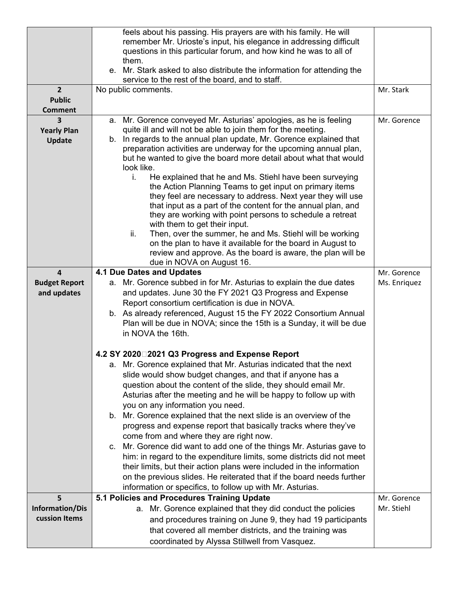|                      | feels about his passing. His prayers are with his family. He will<br>remember Mr. Urioste's input, his elegance in addressing difficult   |              |
|----------------------|-------------------------------------------------------------------------------------------------------------------------------------------|--------------|
|                      | questions in this particular forum, and how kind he was to all of                                                                         |              |
|                      | them.                                                                                                                                     |              |
|                      | e. Mr. Stark asked to also distribute the information for attending the<br>service to the rest of the board, and to staff.                |              |
| $\overline{2}$       | No public comments.                                                                                                                       | Mr. Stark    |
| <b>Public</b>        |                                                                                                                                           |              |
| <b>Comment</b>       |                                                                                                                                           |              |
| 3                    | a. Mr. Gorence conveyed Mr. Asturias' apologies, as he is feeling                                                                         | Mr. Gorence  |
| <b>Yearly Plan</b>   | quite ill and will not be able to join them for the meeting.<br>b. In regards to the annual plan update, Mr. Gorence explained that       |              |
| <b>Update</b>        | preparation activities are underway for the upcoming annual plan,                                                                         |              |
|                      | but he wanted to give the board more detail about what that would                                                                         |              |
|                      | look like.                                                                                                                                |              |
|                      | He explained that he and Ms. Stiehl have been surveying<br>i.                                                                             |              |
|                      | the Action Planning Teams to get input on primary items<br>they feel are necessary to address. Next year they will use                    |              |
|                      | that input as a part of the content for the annual plan, and                                                                              |              |
|                      | they are working with point persons to schedule a retreat                                                                                 |              |
|                      | with them to get their input.                                                                                                             |              |
|                      | ii.<br>Then, over the summer, he and Ms. Stiehl will be working                                                                           |              |
|                      | on the plan to have it available for the board in August to<br>review and approve. As the board is aware, the plan will be                |              |
|                      | due in NOVA on August 16.                                                                                                                 |              |
| $\overline{4}$       | 4.1 Due Dates and Updates                                                                                                                 | Mr. Gorence  |
| <b>Budget Report</b> | a. Mr. Gorence subbed in for Mr. Asturias to explain the due dates                                                                        | Ms. Enriquez |
| and updates          | and updates. June 30 the FY 2021 Q3 Progress and Expense                                                                                  |              |
|                      | Report consortium certification is due in NOVA.                                                                                           |              |
|                      | b. As already referenced, August 15 the FY 2022 Consortium Annual<br>Plan will be due in NOVA; since the 15th is a Sunday, it will be due |              |
|                      | in NOVA the 16th.                                                                                                                         |              |
|                      |                                                                                                                                           |              |
|                      | 4.2 SY 2020□2021 Q3 Progress and Expense Report                                                                                           |              |
|                      | a. Mr. Gorence explained that Mr. Asturias indicated that the next                                                                        |              |
|                      | slide would show budget changes, and that if anyone has a                                                                                 |              |
|                      | question about the content of the slide, they should email Mr.                                                                            |              |
|                      | Asturias after the meeting and he will be happy to follow up with<br>you on any information you need.                                     |              |
|                      | b. Mr. Gorence explained that the next slide is an overview of the                                                                        |              |
|                      | progress and expense report that basically tracks where they've                                                                           |              |
|                      | come from and where they are right now.                                                                                                   |              |
|                      | c. Mr. Gorence did want to add one of the things Mr. Asturias gave to                                                                     |              |
|                      | him: in regard to the expenditure limits, some districts did not meet                                                                     |              |
|                      | their limits, but their action plans were included in the information                                                                     |              |
|                      | on the previous slides. He reiterated that if the board needs further<br>information or specifics, to follow up with Mr. Asturias.        |              |
| 5                    | 5.1 Policies and Procedures Training Update                                                                                               | Mr. Gorence  |
| Information/Dis      | a. Mr. Gorence explained that they did conduct the policies                                                                               | Mr. Stiehl   |
| cussion Items        | and procedures training on June 9, they had 19 participants                                                                               |              |
|                      | that covered all member districts, and the training was                                                                                   |              |
|                      | coordinated by Alyssa Stillwell from Vasquez.                                                                                             |              |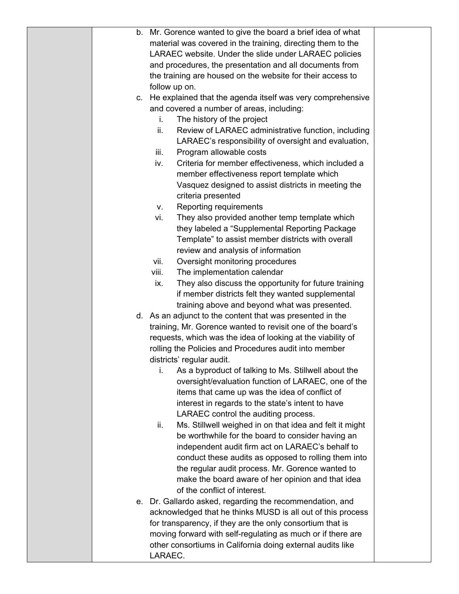| b. | Mr. Gorence wanted to give the board a brief idea of what      |  |
|----|----------------------------------------------------------------|--|
|    | material was covered in the training, directing them to the    |  |
|    | LARAEC website. Under the slide under LARAEC policies          |  |
|    | and procedures, the presentation and all documents from        |  |
|    | the training are housed on the website for their access to     |  |
|    | follow up on.                                                  |  |
|    | c. He explained that the agenda itself was very comprehensive  |  |
|    | and covered a number of areas, including:                      |  |
|    | i.<br>The history of the project                               |  |
|    | Review of LARAEC administrative function, including<br>ii.     |  |
|    | LARAEC's responsibility of oversight and evaluation,           |  |
|    | Program allowable costs<br>iii.                                |  |
|    | Criteria for member effectiveness, which included a<br>iv.     |  |
|    | member effectiveness report template which                     |  |
|    | Vasquez designed to assist districts in meeting the            |  |
|    | criteria presented                                             |  |
|    | Reporting requirements<br>v.                                   |  |
|    | vi.<br>They also provided another temp template which          |  |
|    | they labeled a "Supplemental Reporting Package                 |  |
|    | Template" to assist member districts with overall              |  |
|    | review and analysis of information                             |  |
|    | vii.<br>Oversight monitoring procedures                        |  |
|    | The implementation calendar<br>viii.                           |  |
|    | They also discuss the opportunity for future training<br>ix.   |  |
|    | if member districts felt they wanted supplemental              |  |
|    | training above and beyond what was presented.                  |  |
|    | d. As an adjunct to the content that was presented in the      |  |
|    | training, Mr. Gorence wanted to revisit one of the board's     |  |
|    | requests, which was the idea of looking at the viability of    |  |
|    | rolling the Policies and Procedures audit into member          |  |
|    | districts' regular audit.                                      |  |
|    | As a byproduct of talking to Ms. Stillwell about the<br>j.     |  |
|    | oversight/evaluation function of LARAEC, one of the            |  |
|    | items that came up was the idea of conflict of                 |  |
|    | interest in regards to the state's intent to have              |  |
|    | LARAEC control the auditing process.                           |  |
|    | Ms. Stillwell weighed in on that idea and felt it might<br>ii. |  |
|    | be worthwhile for the board to consider having an              |  |
|    | independent audit firm act on LARAEC's behalf to               |  |
|    | conduct these audits as opposed to rolling them into           |  |
|    | the regular audit process. Mr. Gorence wanted to               |  |
|    | make the board aware of her opinion and that idea              |  |
|    | of the conflict of interest.                                   |  |
|    | e. Dr. Gallardo asked, regarding the recommendation, and       |  |
|    | acknowledged that he thinks MUSD is all out of this process    |  |
|    | for transparency, if they are the only consortium that is      |  |
|    | moving forward with self-regulating as much or if there are    |  |
|    | other consortiums in California doing external audits like     |  |
|    | LARAEC.                                                        |  |
|    |                                                                |  |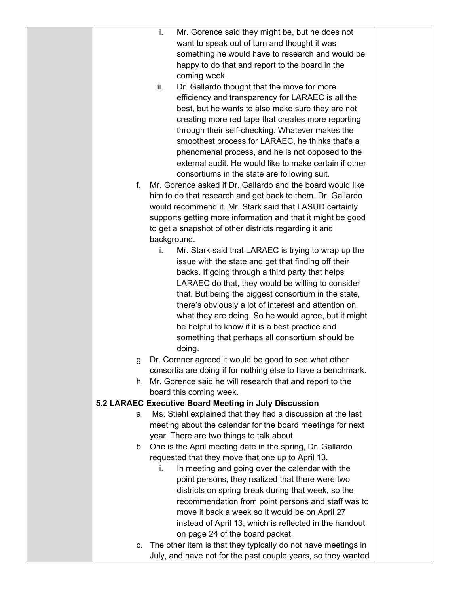|    | i.<br>Mr. Gorence said they might be, but he does not         |  |
|----|---------------------------------------------------------------|--|
|    | want to speak out of turn and thought it was                  |  |
|    | something he would have to research and would be              |  |
|    | happy to do that and report to the board in the               |  |
|    | coming week.                                                  |  |
|    | ii.<br>Dr. Gallardo thought that the move for more            |  |
|    | efficiency and transparency for LARAEC is all the             |  |
|    | best, but he wants to also make sure they are not             |  |
|    | creating more red tape that creates more reporting            |  |
|    | through their self-checking. Whatever makes the               |  |
|    | smoothest process for LARAEC, he thinks that's a              |  |
|    | phenomenal process, and he is not opposed to the              |  |
|    | external audit. He would like to make certain if other        |  |
|    | consortiums in the state are following suit.                  |  |
| f. | Mr. Gorence asked if Dr. Gallardo and the board would like    |  |
|    | him to do that research and get back to them. Dr. Gallardo    |  |
|    | would recommend it. Mr. Stark said that LASUD certainly       |  |
|    | supports getting more information and that it might be good   |  |
|    | to get a snapshot of other districts regarding it and         |  |
|    | background.                                                   |  |
|    | Mr. Stark said that LARAEC is trying to wrap up the<br>i.     |  |
|    | issue with the state and get that finding off their           |  |
|    | backs. If going through a third party that helps              |  |
|    | LARAEC do that, they would be willing to consider             |  |
|    | that. But being the biggest consortium in the state,          |  |
|    | there's obviously a lot of interest and attention on          |  |
|    | what they are doing. So he would agree, but it might          |  |
|    | be helpful to know if it is a best practice and               |  |
|    | something that perhaps all consortium should be               |  |
|    | doing.                                                        |  |
| g. | Dr. Cornner agreed it would be good to see what other         |  |
|    | consortia are doing if for nothing else to have a benchmark.  |  |
|    | h. Mr. Gorence said he will research that and report to the   |  |
|    | board this coming week.                                       |  |
|    | 5.2 LARAEC Executive Board Meeting in July Discussion         |  |
| а. | Ms. Stiehl explained that they had a discussion at the last   |  |
|    | meeting about the calendar for the board meetings for next    |  |
|    | year. There are two things to talk about.                     |  |
|    | b. One is the April meeting date in the spring, Dr. Gallardo  |  |
|    | requested that they move that one up to April 13.             |  |
|    | In meeting and going over the calendar with the<br>İ.         |  |
|    | point persons, they realized that there were two              |  |
|    | districts on spring break during that week, so the            |  |
|    | recommendation from point persons and staff was to            |  |
|    | move it back a week so it would be on April 27                |  |
|    | instead of April 13, which is reflected in the handout        |  |
|    | on page 24 of the board packet.                               |  |
| C. | The other item is that they typically do not have meetings in |  |
|    | July, and have not for the past couple years, so they wanted  |  |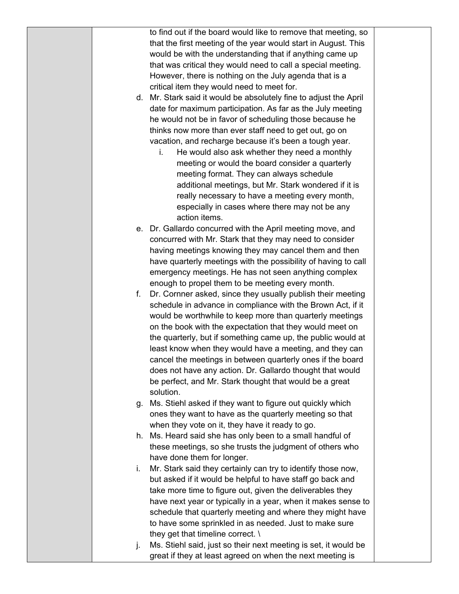|    | to find out if the board would like to remove that meeting, so    |  |
|----|-------------------------------------------------------------------|--|
|    | that the first meeting of the year would start in August. This    |  |
|    | would be with the understanding that if anything came up          |  |
|    | that was critical they would need to call a special meeting.      |  |
|    | However, there is nothing on the July agenda that is a            |  |
|    | critical item they would need to meet for.                        |  |
|    | d. Mr. Stark said it would be absolutely fine to adjust the April |  |
|    | date for maximum participation. As far as the July meeting        |  |
|    | he would not be in favor of scheduling those because he           |  |
|    | thinks now more than ever staff need to get out, go on            |  |
|    | vacation, and recharge because it's been a tough year.            |  |
|    | He would also ask whether they need a monthly<br>i.               |  |
|    | meeting or would the board consider a quarterly                   |  |
|    | meeting format. They can always schedule                          |  |
|    | additional meetings, but Mr. Stark wondered if it is              |  |
|    | really necessary to have a meeting every month,                   |  |
|    | especially in cases where there may not be any                    |  |
|    | action items.                                                     |  |
|    | e. Dr. Gallardo concurred with the April meeting move, and        |  |
|    | concurred with Mr. Stark that they may need to consider           |  |
|    | having meetings knowing they may cancel them and then             |  |
|    | have quarterly meetings with the possibility of having to call    |  |
|    | emergency meetings. He has not seen anything complex              |  |
|    | enough to propel them to be meeting every month.                  |  |
| f. | Dr. Cornner asked, since they usually publish their meeting       |  |
|    | schedule in advance in compliance with the Brown Act, if it       |  |
|    | would be worthwhile to keep more than quarterly meetings          |  |
|    | on the book with the expectation that they would meet on          |  |
|    | the quarterly, but if something came up, the public would at      |  |
|    | least know when they would have a meeting, and they can           |  |
|    | cancel the meetings in between quarterly ones if the board        |  |
|    | does not have any action. Dr. Gallardo thought that would         |  |
|    | be perfect, and Mr. Stark thought that would be a great           |  |
|    | solution.                                                         |  |
| g. | Ms. Stiehl asked if they want to figure out quickly which         |  |
|    | ones they want to have as the quarterly meeting so that           |  |
|    | when they vote on it, they have it ready to go.                   |  |
|    | h. Ms. Heard said she has only been to a small handful of         |  |
|    | these meetings, so she trusts the judgment of others who          |  |
|    | have done them for longer.                                        |  |
|    |                                                                   |  |
| i. | Mr. Stark said they certainly can try to identify those now,      |  |
|    | but asked if it would be helpful to have staff go back and        |  |
|    | take more time to figure out, given the deliverables they         |  |
|    | have next year or typically in a year, when it makes sense to     |  |
|    | schedule that quarterly meeting and where they might have         |  |
|    | to have some sprinkled in as needed. Just to make sure            |  |
|    | they get that timeline correct. $\setminus$                       |  |
| j. | Ms. Stiehl said, just so their next meeting is set, it would be   |  |
|    | great if they at least agreed on when the next meeting is         |  |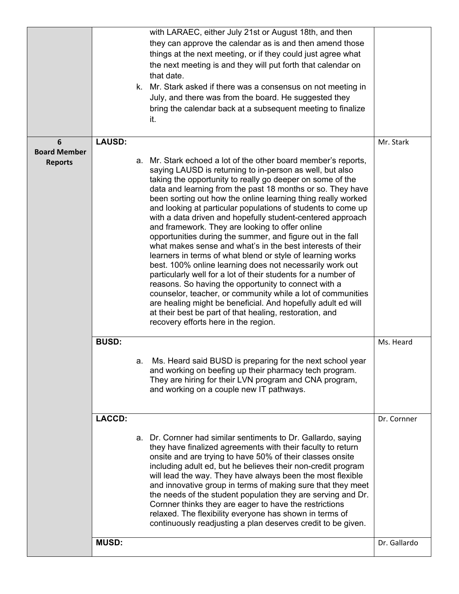|                                            |               |    | with LARAEC, either July 21st or August 18th, and then<br>they can approve the calendar as is and then amend those<br>things at the next meeting, or if they could just agree what<br>the next meeting is and they will put forth that calendar on<br>that date.<br>k. Mr. Stark asked if there was a consensus on not meeting in<br>July, and there was from the board. He suggested they<br>bring the calendar back at a subsequent meeting to finalize<br>it.                                                                                                                                                                                                                                                                                                                                                                                                                                                                                                                                                                                                                                                         |              |
|--------------------------------------------|---------------|----|--------------------------------------------------------------------------------------------------------------------------------------------------------------------------------------------------------------------------------------------------------------------------------------------------------------------------------------------------------------------------------------------------------------------------------------------------------------------------------------------------------------------------------------------------------------------------------------------------------------------------------------------------------------------------------------------------------------------------------------------------------------------------------------------------------------------------------------------------------------------------------------------------------------------------------------------------------------------------------------------------------------------------------------------------------------------------------------------------------------------------|--------------|
| 6<br><b>Board Member</b><br><b>Reports</b> | <b>LAUSD:</b> |    | a. Mr. Stark echoed a lot of the other board member's reports,<br>saying LAUSD is returning to in-person as well, but also<br>taking the opportunity to really go deeper on some of the<br>data and learning from the past 18 months or so. They have<br>been sorting out how the online learning thing really worked<br>and looking at particular populations of students to come up<br>with a data driven and hopefully student-centered approach<br>and framework. They are looking to offer online<br>opportunities during the summer, and figure out in the fall<br>what makes sense and what's in the best interests of their<br>learners in terms of what blend or style of learning works<br>best. 100% online learning does not necessarily work out<br>particularly well for a lot of their students for a number of<br>reasons. So having the opportunity to connect with a<br>counselor, teacher, or community while a lot of communities<br>are healing might be beneficial. And hopefully adult ed will<br>at their best be part of that healing, restoration, and<br>recovery efforts here in the region. | Mr. Stark    |
|                                            | <b>BUSD:</b>  | а. | Ms. Heard said BUSD is preparing for the next school year<br>and working on beefing up their pharmacy tech program.<br>They are hiring for their LVN program and CNA program,<br>and working on a couple new IT pathways.                                                                                                                                                                                                                                                                                                                                                                                                                                                                                                                                                                                                                                                                                                                                                                                                                                                                                                | Ms. Heard    |
|                                            | <b>LACCD:</b> |    | a. Dr. Cornner had similar sentiments to Dr. Gallardo, saying<br>they have finalized agreements with their faculty to return<br>onsite and are trying to have 50% of their classes onsite<br>including adult ed, but he believes their non-credit program<br>will lead the way. They have always been the most flexible<br>and innovative group in terms of making sure that they meet<br>the needs of the student population they are serving and Dr.<br>Cornner thinks they are eager to have the restrictions<br>relaxed. The flexibility everyone has shown in terms of<br>continuously readjusting a plan deserves credit to be given.                                                                                                                                                                                                                                                                                                                                                                                                                                                                              | Dr. Cornner  |
|                                            | <b>MUSD:</b>  |    |                                                                                                                                                                                                                                                                                                                                                                                                                                                                                                                                                                                                                                                                                                                                                                                                                                                                                                                                                                                                                                                                                                                          | Dr. Gallardo |